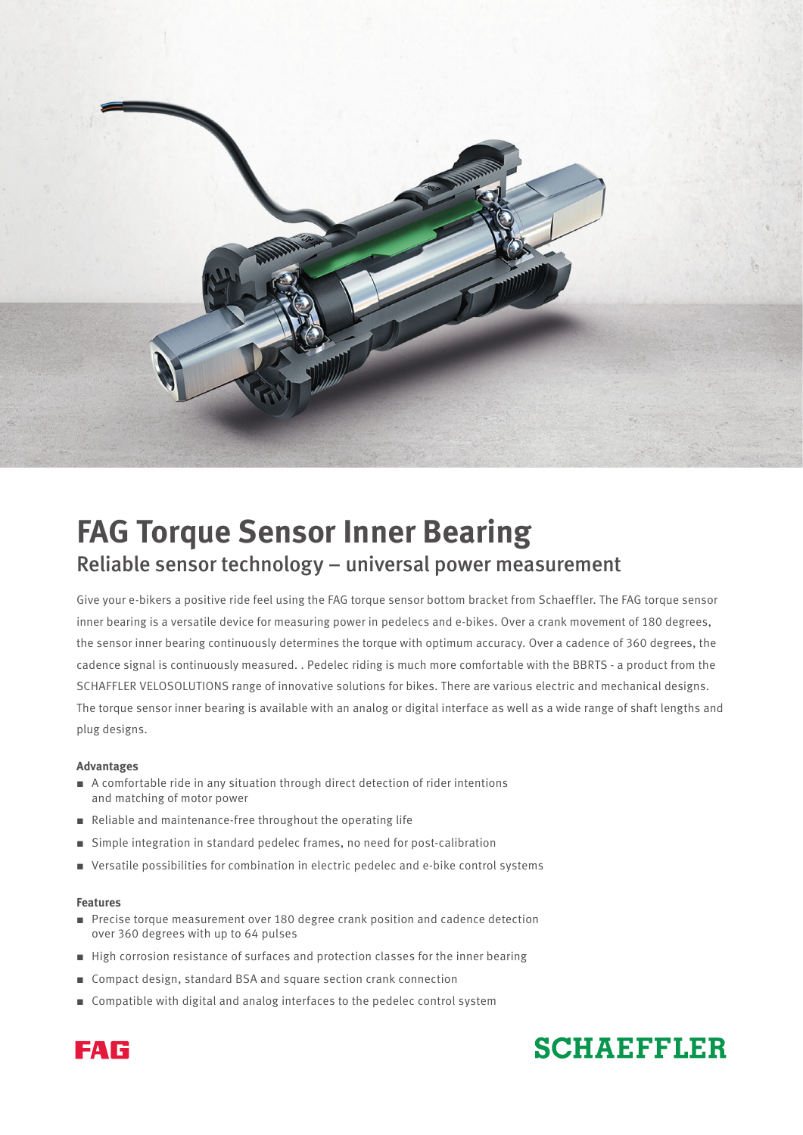

# **FAG Torque Sensor Inner Bearing** Reliable sensor technology – universal power measurement

Give your e-bikers a positive ride feel using the FAG torque sensor bottom bracket from Schaeffler. The FAG torque sensor inner bearing is a versatile device for measuring power in pedelecs and e-bikes. Over a crank movement of 180 degrees, the sensor inner bearing continuously determines the torque with optimum accuracy. Over a cadence of 360 degrees, the cadence signal is continuously measured. . Pedelec riding is much more comfortable with the BBRTS - a product from the SCHAFFLER VELOSOLUTIONS range of innovative solutions for bikes. There are various electric and mechanical designs. The torque sensor inner bearing is available with an analog or digital interface as well as a wide range of shaft lengths and plug designs.

#### **Advantages**

- A comfortable ride in any situation through direct detection of rider intentions and matching of motor power
- Reliable and maintenance-free throughout the operating life
- Simple integration in standard pedelec frames, no need for post-calibration
- Versatile possibilities for combination in electric pedelec and e-bike control systems

#### **Features**

- Precise torque measurement over 180 degree crank position and cadence detection over 360 degrees with up to 64 pulses
- High corrosion resistance of surfaces and protection classes for the inner bearing
- Compact design, standard BSA and square section crank connection
- Compatible with digital and analog interfaces to the pedelec control system



# **SCHAEFFLER**